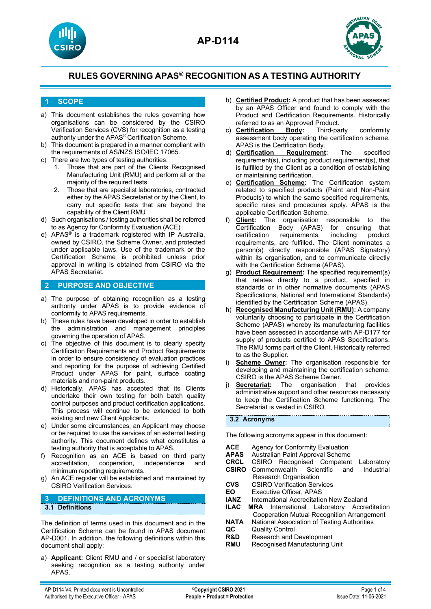





### **1 SCOPE**

- a) This document establishes the rules governing how organisations can be considered by the CSIRO Verification Services (CVS) for recognition as a testing authority under the APAS® Certification Scheme.
- b) This document is prepared in a manner compliant with the requirements of AS/NZS ISO/IEC 17065.
- c) There are two types of testing authorities:
	- 1. Those that are part of the Clients Recognised Manufacturing Unit (RMU) and perform all or the majority of the required tests
	- 2. Those that are specialist laboratories, contracted either by the APAS Secretariat or by the Client, to carry out specific tests that are beyond the capability of the Client RMU
- d) Such organisations / testing authorities shall be referred to as Agency for Conformity Evaluation (ACE).
- e) APAS® is a trademark registered with IP Australia, owned by CSIRO, the Scheme Owner, and protected under applicable laws. Use of the trademark or the Certification Scheme is prohibited unless prior approval in writing is obtained from CSIRO via the APAS Secretariat.

#### **2 PURPOSE AND OBJECTIVE**

- a) The purpose of obtaining recognition as a testing authority under APAS is to provide evidence of conformity to APAS requirements.
- b) These rules have been developed in order to establish the administration and management principles governing the operation of APAS.
- c) The objective of this document is to clearly specify Certification Requirements and Product Requirements in order to ensure consistency of evaluation practices and reporting for the purpose of achieving Certified Product under APAS for paint, surface coating materials and non-paint products.
- d) Historically, APAS has accepted that its Clients undertake their own testing for both batch quality control purposes and product certification applications. This process will continue to be extended to both existing and new Client Applicants.
- e) Under some circumstances, an Applicant may choose or be required to use the services of an external testing authority. This document defines what constitutes a testing authority that is acceptable to APAS.
- f) Recognition as an ACE is based on third party accreditation, cooperation, independence and minimum reporting requirements.
- g) An ACE register will be established and maintained by CSIRO Verification Services.

### **3 DEFINITIONS AND ACRONYMS 3.1 Definitions**

The definition of terms used in this document and in the Certification Scheme can be found in APAS document AP-D001. In addition, the following definitions within this document shall apply:

a) **Applicant:** Client RMU and / or specialist laboratory seeking recognition as a testing authority under APAS.

- b) **Certified Product:** A product that has been assessed by an APAS Officer and found to comply with the Product and Certification Requirements. Historically referred to as an Approved Product.<br>**Certification Body:** Third-party
- c) **Certification Body:** Third-party conformity assessment body operating the certification scheme. APAS is the Certification Body.<br>Certification Requirement:
- d) **Certification Requirement:** The specified requirement(s), including product requirement(s), that is fulfilled by the Client as a condition of establishing or maintaining certification.
- e) **Certification Scheme:** The Certification system related to specified products (Paint and Non-Paint Products) to which the same specified requirements, specific rules and procedures apply. APAS is the applicable Certification Scheme.
- f) **Client:** The organisation responsible to the Certification Body (APAS) for ensuring that<br>certification requirements, including product requirements, including product requirements, are fulfilled. The Client nominates a person(s) directly responsible (APAS Signatory) within its organisation, and to communicate directly with the Certification Scheme (APAS).
- g) **Product Requirement:** The specified requirement(s) that relates directly to a product, specified in standards or in other normative documents (APAS Specifications, National and International Standards) identified by the Certification Scheme (APAS).
- h) **Recognised Manufacturing Unit (RMU):** A company voluntarily choosing to participate in the Certification Scheme (APAS) whereby its manufacturing facilities have been assessed in accordance with AP-D177 for supply of products certified to APAS Specifications. The RMU forms part of the Client. Historically referred to as the Supplier.
- i) **Scheme Owner:** The organisation responsible for developing and maintaining the certification scheme. CSIRO is the APAS Scheme Owner.
- j) **Secretariat:** The organisation that provides administrative support and other resources necessary to keep the Certification Scheme functioning. The Secretariat is vested in CSIRO.

#### **3.2 Acronyms**

The following acronyms appear in this document:

| <b>ACF</b><br><b>APAS</b><br><b>CRCL</b><br><b>CSIRO</b> | Agency for Conformity Evaluation<br>Australian Paint Approval Scheme<br>CSIRO Recognised Competent<br>Laboratory<br>Scientific<br>Commonwealth<br>Industrial<br>and |  |  |
|----------------------------------------------------------|---------------------------------------------------------------------------------------------------------------------------------------------------------------------|--|--|
|                                                          | Research Organisation                                                                                                                                               |  |  |
| CVS                                                      | <b>CSIRO Verification Services</b>                                                                                                                                  |  |  |
| EO                                                       | Executive Officer, APAS                                                                                                                                             |  |  |
| <b>IANZ</b>                                              | International Accreditation New Zealand                                                                                                                             |  |  |
| II AC                                                    | <b>MRA</b> International Laboratory Accreditation                                                                                                                   |  |  |
|                                                          | <b>Cooperation Mutual Recognition Arrangement</b>                                                                                                                   |  |  |
| <b>NATA</b>                                              | National Association of Testing Authorities                                                                                                                         |  |  |
| QC                                                       | <b>Quality Control</b>                                                                                                                                              |  |  |
| <b>R&amp;D</b>                                           | <b>Research and Development</b>                                                                                                                                     |  |  |
| RMU                                                      | Recognised Manufacturing Unit                                                                                                                                       |  |  |
|                                                          |                                                                                                                                                                     |  |  |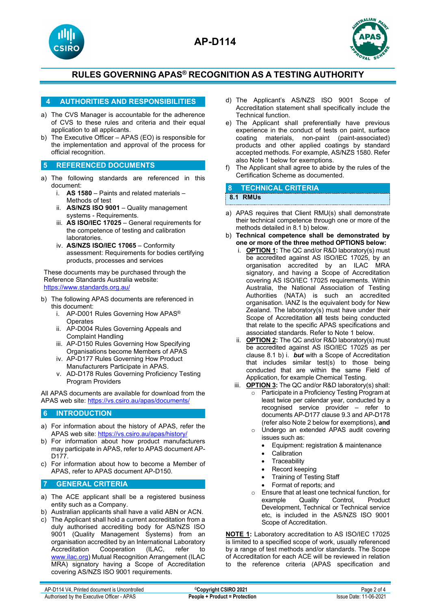





#### **4 AUTHORITIES AND RESPONSIBILITIES**

- a) The CVS Manager is accountable for the adherence of CVS to these rules and criteria and their equal application to all applicants.
- b) The Executive Officer APAS (EO) is responsible for the implementation and approval of the process for official recognition.
- **5 REFERENCED DOCUMENTS**
- a) The following standards are referenced in this document:
	- i. **AS 1580** Paints and related materials Methods of test
	- ii. **AS/NZS ISO 9001** Quality management systems - Requirements.
	- iii. **AS ISO/IEC 17025** General requirements for the competence of testing and calibration laboratories.
	- iv. **AS/NZS ISO/IEC 17065** Conformity assessment: Requirements for bodies certifying products, processes and services

These documents may be purchased through the Reference Standards Australia website: <https://www.standards.org.au/>

- b) The following APAS documents are referenced in this document:
	- i. AP-D001 Rules Governing How APAS® **Operates**
	- ii. AP-D004 Rules Governing Appeals and Complaint Handling
	- iii. AP-D150 Rules Governing How Specifying Organisations become Members of APAS
	- iv. AP-D177 Rules Governing How Product Manufacturers Participate in APAS.
	- v. AD-D178 Rules Governing Proficiency Testing Program Providers

All APAS documents are available for download from the APAS web site:<https://vs.csiro.au/apas/documents/>

#### **6 INTRODUCTION**

- a) For information about the history of APAS, refer the APAS web site:<https://vs.csiro.au/apas/history/>
- b) For information about how product manufacturers may participate in APAS, refer to APAS document AP-D177.
- c) For information about how to become a Member of APAS, refer to APAS document AP-D150.

#### **7 GENERAL CRITERIA**

- a) The ACE applicant shall be a registered business entity such as a Company.
- b) Australian applicants shall have a valid ABN or ACN.
- c) The Applicant shall hold a current accreditation from a duly authorised accrediting body for AS/NZS ISO 9001 (Quality Management Systems) from an organisation accredited by an International Laboratory<br>Accreditation Cooperation (ILAC, refer to Cooperation (ILAC, refer to [www.ilac.org\)](http://www.ilac.org/) Mutual Recognition Arrangement (ILAC MRA) signatory having a Scope of Accreditation covering AS/NZS ISO 9001 requirements.
- d) The Applicant's AS/NZS ISO 9001 Scope of Accreditation statement shall specifically include the Technical function.
- e) The Applicant shall preferentially have previous experience in the conduct of tests on paint, surface coating materials, non-paint (paint-associated) products and other applied coatings by standard accepted methods. For example, AS/NZS 1580. Refer also Note 1 below for exemptions.
- f) The Applicant shall agree to abide by the rules of the Certification Scheme as documented.

#### **8 TECHNICAL CRITERIA**

#### **8.1 RMUs**

- a) APAS requires that Client RMU(s) shall demonstrate their technical competence through one or more of the methods detailed in 8.1 b) below.
- b) **Technical competence shall be demonstrated by one or more of the three method OPTIONS below:** 
	- i. **OPTION 1:** The QC and/or R&D laboratory(s) must be accredited against AS ISO/IEC 17025, by an organisation accredited by an ILAC MRA signatory, and having a Scope of Accreditation covering AS ISO/IEC 17025 requirements. Within Australia, the National Association of Testing Authorities (NATA) is such an accredited organisation. IANZ Is the equivalent body for New Zealand. The laboratory(s) must have under their Scope of Accreditation **all** tests being conducted that relate to the specific APAS specifications and associated standards. Refer to Note 1 below.
	- ii. **OPTION 2:** The QC and/or R&D laboratory(s) must be accredited against AS ISO/IEC 17025 as per clause 8.1 b) i. *but* with a Scope of Accreditation that includes similar test(s) to those being conducted that are within the same Field of Application, for example Chemical Testing.
	- iii. **OPTION 3:** The QC and/or R&D laboratory(s) shall: Participate in a Proficiency Testing Program at least twice per calendar year, conducted by a recognised service provider – refer to documents AP-D177 clause 9.3 and AP-D178 (refer also Note 2 below for exemptions), **and** o Undergo an extended APAS audit covering issues such as:
		- Equipment: registration & maintenance
		- **Calibration**
		- **Traceability**
		- Record keeping
		- Training of Testing Staff
		- Format of reports; and
		- Ensure that at least one technical function, for<br>example Quality Control, Product example Development, Technical or Technical service etc, is included in the AS/NZS ISO 9001 Scope of Accreditation.

**NOTE 1:** Laboratory accreditation to AS ISO/IEC 17025 is limited to a specified scope of work, usually referenced by a range of test methods and/or standards. The Scope of Accreditation for each ACE will be reviewed in relation to the reference criteria (APAS specification and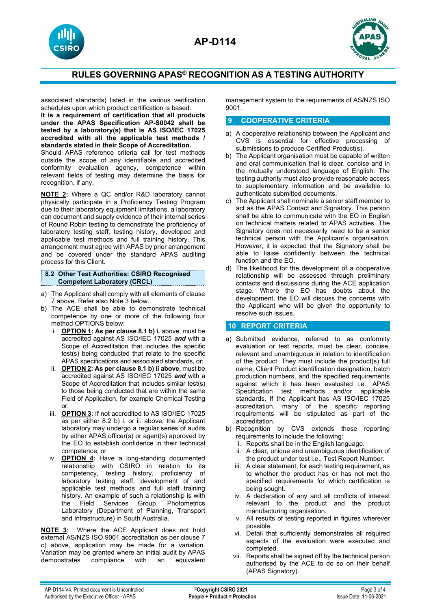



associated standards) listed in the various verification schedules upon which product certification is based.

**It is a requirement of certification that all products under the APAS Specification AP-S0042 shall be tested by a laboratory(s) that is AS ISO/IEC 17025 accredited with all the applicable test methods / standards stated in their Scope of Accreditation.**

Should APAS reference criteria call for test methods outside the scope of any identifiable and accredited conformity evaluation agency, competence within relevant fields of testing may determine the basis for recognition, if any.

**NOTE 2:** Where a QC and/or R&D laboratory cannot physically participate in a Proficiency Testing Program due to their laboratory equipment limitations, a laboratory can document and supply evidence of their internal series of Round Robin testing to demonstrate the proficiency of laboratory testing staff, testing history, developed and applicable test methods and full training history. This arrangement must agree with APAS by prior arrangement and be covered under the standard APAS auditing process for this Client.

**8.2 Other Test Authorities: CSIRO Recognised Competent Laboratory (CRCL)**

- a) The Applicant shall comply with all elements of clause 7 above. Refer also Note 3 below.
- b) The ACE shall be able to demonstrate technical competence by one or more of the following four method OPTIONS below:
	- i. **OPTION 1: As per clause 8.1 b) i.** above, must be accredited against AS ISO/IEC 17025 *and* with a Scope of Accreditation that includes the specific test(s) being conducted that relate to the specific APAS specifications and associated standards, or;
	- ii. **OPTION 2: As per clause 8.1 b) ii above,** must be accredited against AS ISO/IEC 17025 *and* with a Scope of Accreditation that includes similar test(s) to those being conducted that are within the same Field of Application, for example Chemical Testing or;
	- iii. **OPTION 3:** If not accredited to AS ISO/IEC 17025 as per either 8.2 b) i. or ii. above, the Applicant laboratory may undergo a regular series of audits by either APAS officer(s) or agent(s) approved by the EO to establish confidence in their technical competence; or
	- iv. **OPTION 4:** Have a long-standing documented relationship with CSIRO in relation to its competency, testing history, proficiency of laboratory testing staff, development of and applicable test methods and full staff training history. An example of such a relationship is with the Field Services Group, Photometrics Laboratory (Department of Planning, Transport and Infrastructure) in South Australia.

**NOTE 3:** Where the ACE Applicant does not hold external AS/NZS ISO 9001 accreditation as per clause 7 c) above, application may be made for a variation. Variation may be granted where an initial audit by APAS compliance

management system to the requirements of AS/NZS ISO 9001.

### **9 COOPERATIVE CRITERIA**

- a) A cooperative relationship between the Applicant and CVS is essential for effective processing of submissions to produce Certified Product(s).
- b) The Applicant organisation must be capable of written and oral communication that is clear, concise and in the mutually understood language of English. The testing authority must also provide reasonable access to supplementary information and be available to authenticate submitted documents.
- c) The Applicant shall nominate a senior staff member to act as the APAS Contact and Signatory. This person shall be able to communicate with the EO in English on technical matters related to APAS activities. The Signatory does not necessarily need to be a senior technical person with the Applicant's organisation. However, it is expected that the Signatory shall be able to liaise confidently between the technical function and the EO.
- d) The likelihood for the development of a cooperative relationship will be assessed through preliminary contacts and discussions during the ACE application stage. Where the EO has doubts about the development, the EO will discuss the concerns with the Applicant who will be given the opportunity to resolve such issues.

#### **10 REPORT CRITERIA**

- a) Submitted evidence, referred to as conformity evaluation or test reports, must be clear, concise, relevant and unambiguous in relation to identification of the product. They must include the product(s) full name, Client Product identification designation, batch production numbers, and the specified requirements against which it has been evaluated i.e., APAS Specification test methods and/or applicable standards. If the Applicant has AS ISO/IEC 17025 accreditation, many of the specific reporting requirements will be stipulated as part of the accreditation.
- b) Recognition by CVS extends these reporting requirements to include the following:
	- i. Reports shall be in the English language.
	- ii. A clear, unique and unambiguous identification of the product under test i.e., Test Report Number.
	- iii. A clear statement, for each testing requirement, as to whether the product has or has not met the specified requirements for which certification is being sought.
	- iv. A declaration of any and all conflicts of interest relevant to the product and the product manufacturing organisation.
	- v. All results of testing reported in figures wherever possible.
	- vi. Detail that sufficiently demonstrates all required aspects of the evaluation were executed and completed.
	- vii. Reports shall be signed off by the technical person authorised by the ACE to do so on their behalf (APAS Signatory).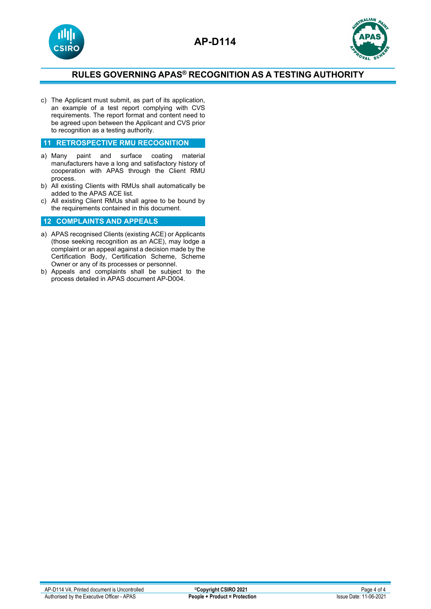



c) The Applicant must submit, as part of its application, an example of a test report complying with CVS requirements. The report format and content need to be agreed upon between the Applicant and CVS prior to recognition as a testing authority.

#### **11 RETROSPECTIVE RMU RECOGNITION**

- a) Many paint and surface coating material manufacturers have a long and satisfactory history of cooperation with APAS through the Client RMU process.
- b) All existing Clients with RMUs shall automatically be added to the APAS ACE list.
- c) All existing Client RMUs shall agree to be bound by the requirements contained in this document.

#### **12 COMPLAINTS AND APPEALS**

- a) APAS recognised Clients (existing ACE) or Applicants (those seeking recognition as an ACE), may lodge a complaint or an appeal against a decision made by the Certification Body, Certification Scheme, Scheme Owner or any of its processes or personnel.
- b) Appeals and complaints shall be subject to the process detailed in APAS document AP-D004.